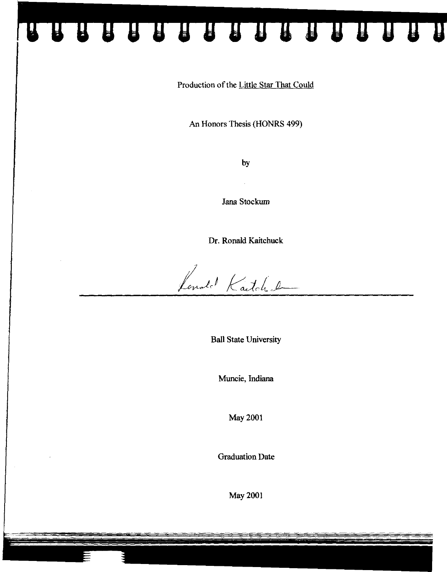Production of the Little Star That Could

88888888888

 $\mathbf{a}$ 

An Honors Thesis (HONRS 499)

by

Jana Stockum

Dr. Ronald Kaitchuck

Londot Katche

**Ball** State University

Muncie, Indiana

May 2001

Graduation Date

May 2001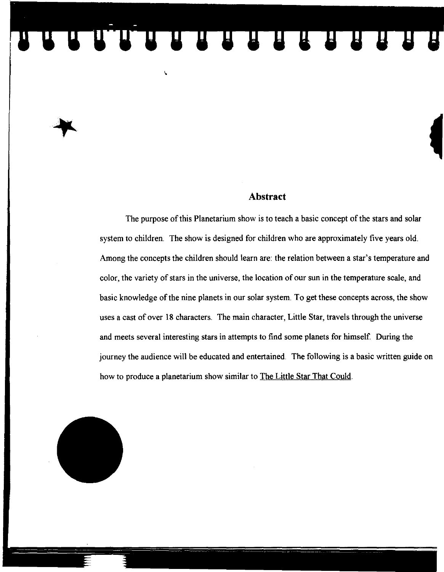## UUTUUTUUTUUTUUT

#### **Abstract**

The purpose of this Planetarium show is to teach a basic concept of the stars and solar system to children. The show is designed for children who are approximately five years old. Among the concepts the children should learn are: the relation between a star's temperature and color, the variety of stars in the universe, the location of our sun in the temperature scale, and basic knowledge of the nine planets in our solar system. To get these concepts across, the show uses a cast of over 18 characters. The main character, Little Star, travels through the universe and meets several interesting stars in attempts to find some planets for himself. During the journey the audience will be educated and entertained. The following is a basic written guide on how to produce a planetarium show similar to The Little Star That Could.

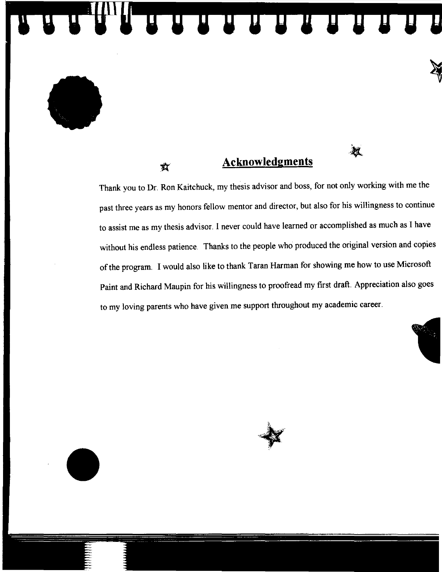#### **Acknowledgments**

攻

UU UU UU UU UU

Thank you to Dr. Ron Kaitchuck, my thesis advisor and boss, for not only working with me the past three years as my honors fellow mentor and director, but also for his willingness to continue to assist me as my thesis advisor. I never could have learned or accomplished as much as I have without his endless patience. Thanks to the people who produced the original version and copies of the program. I would also like to thank Taran Harman for showing me how to use Microsoft Paint and Richard Maupin for his willingness to proofread my first draft. Appreciation also goes to my loving parents who have given me support throughout my academic career.



U



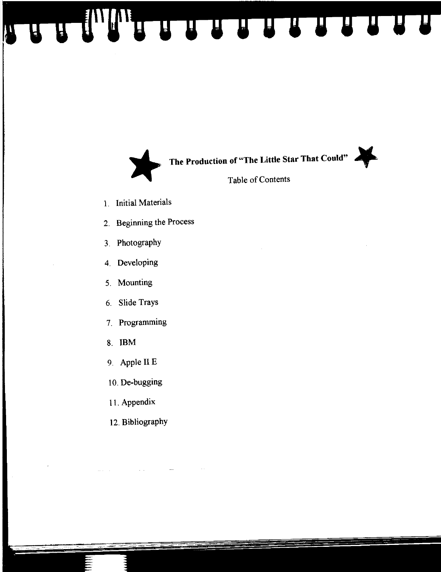HAMMERTHE REAL



- 1. Initial Materials
- 2. Beginning the Process
- 3. Photography
- 4. Developing
- 5. Mounting
- 6. Slide Trays
- 7. Programming
- 8. IBM
- 9. Apple II E
- 10. De-bugging
- 11. Appendix
- 12. Bibliography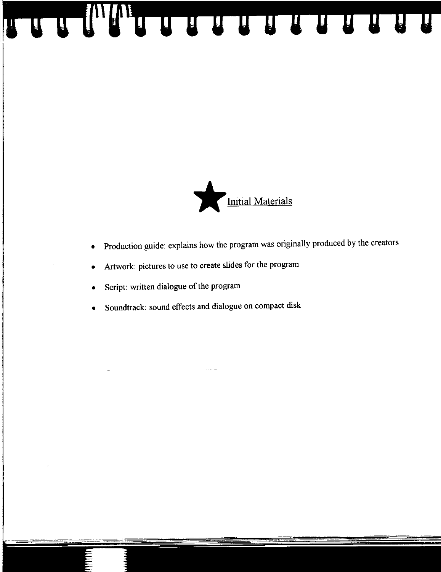

- Production guide: explains how the program was originally produced by the creators
- Artwork: pictures to use to create slides for the program

A A A A A A A A A A A A A A

- Script: written dialogue of the program
- Soundtrack: sound effects and dialogue on compact disk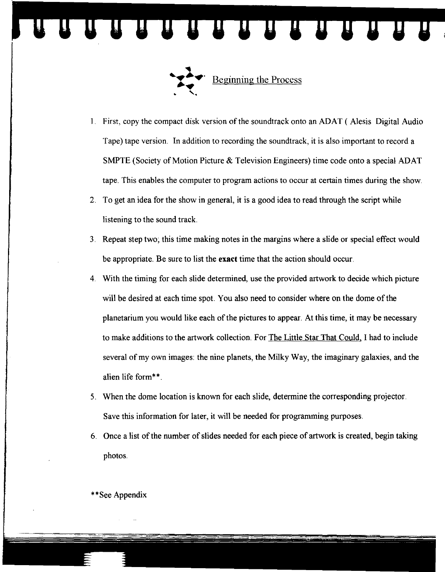

1. First, copy the compact disk version of the soundtrack onto an ADAT (Alesis Digital Audio Tape) tape version. In addition to recording the soundtrack, it is also important to record a SMPTE (Society of Motion Picture & Television Engineers) time code onto a special ADAT tape. This enables the computer to program actions to occur at certain times during the show.

**TENTENTE** 

- 2. To get an idea for the show in general, it is a good idea to read through the script while listening to the sound track.
- 3. Repeat step two; this time making notes in the margins where a slide or special effect would be appropriate. Be sure to list the **exact** time that the action should occur.
- 4. With the timing for each slide determined, use the provided artwork to decide which picture will be desired at each time spot. You also need to consider where on the dome of the planetarium you would like each of the pictures to appear. At this time, it may be necessary to make additions to the artwork collection. For The Little Star That Could. I had to include several of my own images: the nine planets, the Milky Way, the imaginary galaxies, and the alien life form\*\*
- 5. When the dome location is known for each slide, determine the corresponding projector. Save this information for later, it will be needed for programming purposes.
- 6. Once a list of the number of slides needed for each piece of artwork is created, begin taking photos.

\* \* See Appendix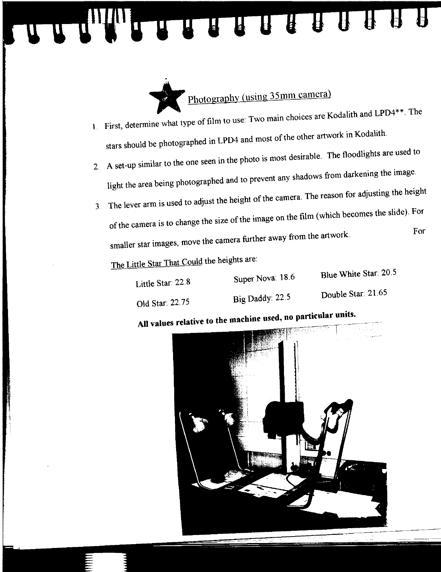**A & & B** THE REAL PROPERTY.



- 1. First, determine what type of film to use: Two main choices are Kodalith and LPD4\*\*. The stars should be photographed in LPD4 and most of the other artwork in Kodalith.
- 2. A set-up similar to the one seen in the photo is most desirable. The floodlights are used to light the area being photographed and to prevent any shadows from darkening the image.
- 3. The lever arm is used to adjust the height of the camera. The reason for adjusting the height of the camera is to change the size of the image on the film (which becomes the slide). For For smaller star images, move the camera further away from the artwork.

The Little Star That Could the heights are:

| Little Star: 22.8 | Super Nova: $18.6$ | Blue White Star: 20.5 |
|-------------------|--------------------|-----------------------|
|                   |                    | Double Star: 21.65    |
| Old Star. 22.75   | Big Daddy: $22.5$  |                       |

#### **All values relative to the machine used. no particular units.**

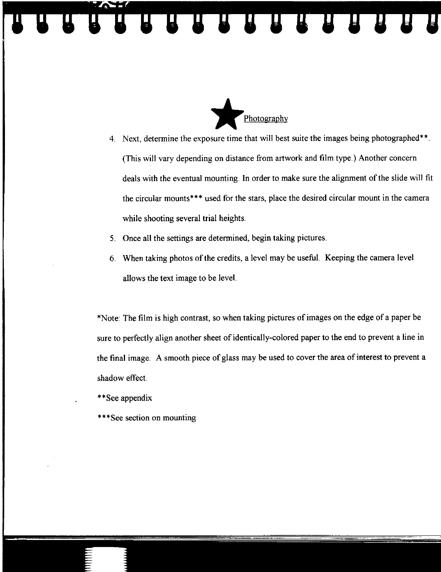

- 4. Next, determine the exposure time that will best suite the images being photographed\*\*. (This will vary depending on distance from artwork and film type.) Another concern deals with the eventual mounting. In order to make sure the alignment of the slide will fit the circular mounts\*\*\* used for the stars, place the desired circular mount in the camera while shooting several trial heights.
- 5. Once all the settings are determined, begin taking pictures.
- 6. When taking photos of the credits, a level may be useful. Keeping the camera level allows the text image to be level.

\*Note: The film is high contrast, so when taking pictures of images on the edge of a paper be sure to perfectly align another sheet of identically-colored paper to the end to prevent a line in the final image. A smooth piece of glass may be used to cover the area of interest to prevent a shadow effect.

- \*\* See appendix
- \*\*\* See section on mounting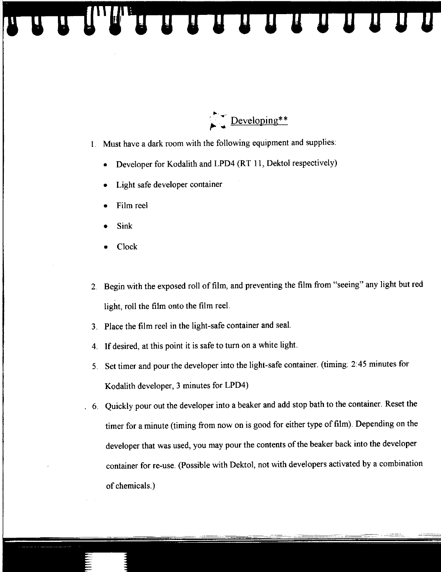

I. Must have a dark room with the following equipment and supplies:

**THE REAL PROPERTY** 

- Developer for Kodalith and LPD4 (RT II, Dektol respectively)
- Light safe developer container
- Film reel
- Sink
- Clock
- 2. Begin with the exposed roll of film, and preventing the film from "seeing" any light but red light, roll the film onto the film reel.
- 3. Place the film reel in the light-safe container and seal.
- 4. If desired, at this point it is safe to turn on a white light.
- 5. Set timer and pour the developer into the light-safe container. (timing: 2:45 minutes for Kodalith developer, 3 minutes for LPD4)
- . 6. Quickly pour out the developer into a beaker and add stop bath to the container. Reset the timer for a minute (timing from now on is good for either type of film). Depending on the developer that was used, you may pour the contents of the beaker back into the developer container for re-use. (possible with Dektol, not with developers activated by a combination of chemicals.)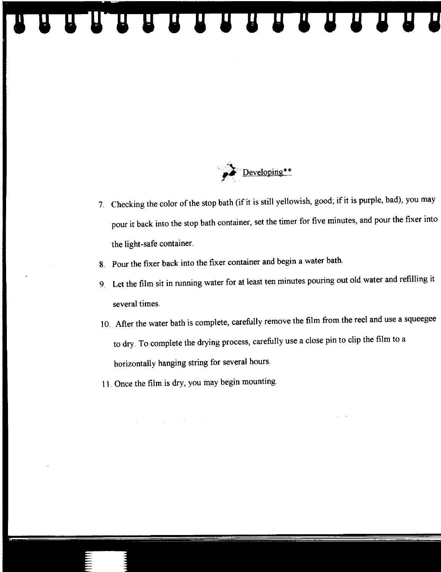#### <sup>2</sup>Developing\*\* /

- 7. Checking the color of the stop bath (if it is still yellowish, good; if it is purple, bad), you may pour it back into the stop bath container, set the timer for five minutes, and pour the fixer into the light-safe container.
- 8. Pour the fixer back into the fixer container and begin a water bath.

UUUUUUUUUU

- 9. Let the film sit in running water for at least ten minutes pouring out old water and refilling it several times.
- 10. After the water bath is complete, carefully remove the film from the reel and use a squeegee to dry. To complete the drying process, carefully use a close pin to clip the film to a horizontally hanging string for several hours.
- 11. Once the film is dry, you may begin mounting.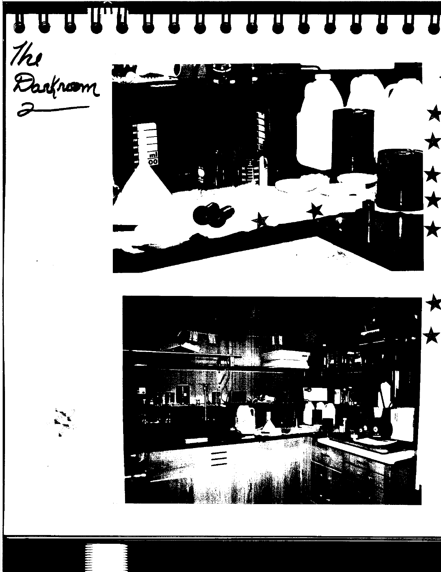



 $\bigstar$ 

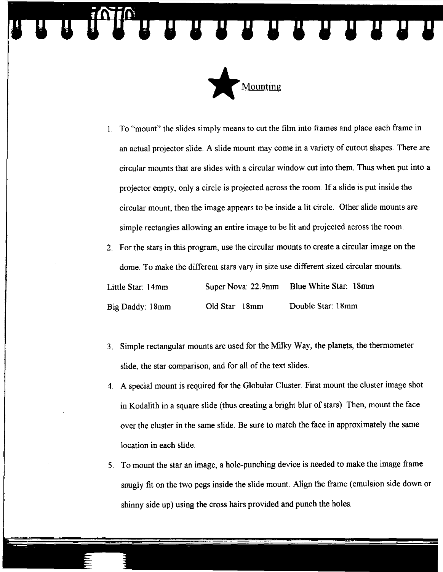A R R R R R R R R R



1. To "mount" the slides simply means to cut the film into frames and place each frame in an actual projector slide. A slide mount may come in a variety of cutout shapes. There are circular mounts that are slides with a circular window cut into them. Thus when put into a projector empty, only a circle is projected across the room. If a slide is put inside the circular mount, then the image appears to be inside a lit circle. Other slide mounts are simple rectangles allowing an entire image to be lit and projected across the room.

2. For the stars in this program, use the circular mounts to create a circular image on the dome. To make the different stars vary in size use different sized circular mounts. Little Star: 14mm Super Nova: 22.9mm Blue White Star: 18mm Big Daddy: 18mm Old Star 18mm Double Star: 18mm

- 3. Simple rectangular mounts are used for the Milky Way, the planets, the thermometer slide, the star comparison, and for all of the text slides.
- 4. A special mount is required for the Globular Cluster. First mount the cluster image shot in Kodalith in a square slide (thus creating a bright blur of stars). Then, mount the face over the cluster in the same slide. Be sure to match the face in approximately the same location in each slide.
- 5. To mount the star an image, a hole-punching device is needed to make the image frame snugly fit on the two pegs inside the slide mount. Align the frame (emulsion side down or shinny side up) using the cross hairs provided and punch the holes.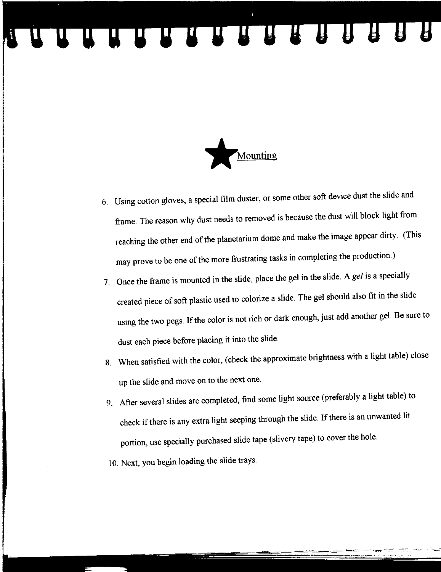### A A A A A A A A A A A A A



- 6. Using cotton gloves, a special film duster, or some other soft device dust the slide and frame. The reason why dust needs to removed is because the dust will block light from reaching the other end of the planetarium dome and make the image appear dirty. (This may prove to be one of the more frustrating tasks in completing the production.)
- 7. Once the frame is mounted in the slide, place the gel in the slide. A *gel* is a specially created piece of soft plastic used to colorize a slide. The gel should also fit in the slide using the two pegs. If the color is not rich or dark enough, just add another gel. Be sure to dust each piece before placing it into the slide.
- 8. When satisfied with the color, (check the approximate brightness with a light table) close up the slide and move on to the next one.
- 9. After several slides are completed, find some light source (preferably a light table) to check if there is any extra light seeping through the slide. If there is an unwanted lit portion, use specially purchased slide tape ( slivery tape) to cover the hole.
- 10. Next, you begin loading the slide trays.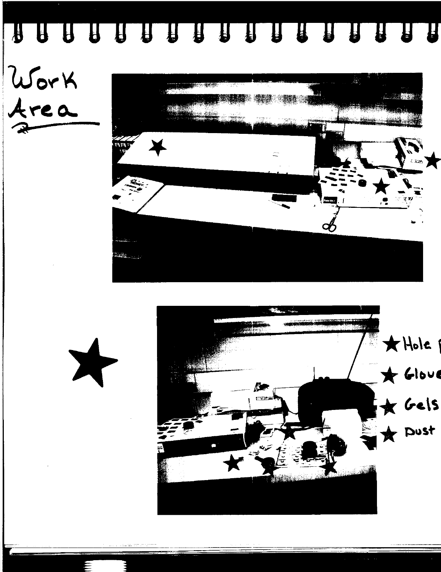### 







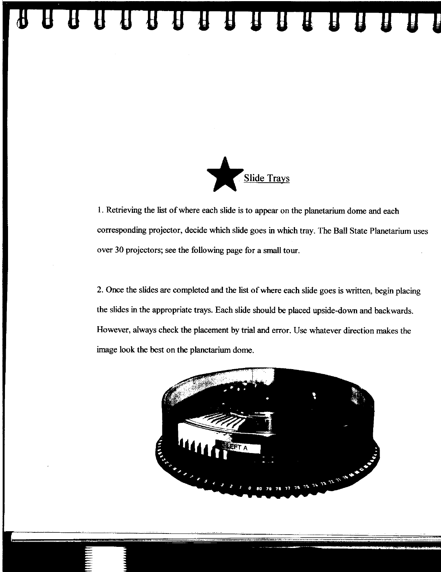### UTU UTU UTU UTU



1. Retrieving the list of where each slide is to appear on the planetarium dome and each corresponding projector, decide which slide goes in which tray. The Ball State Planetarium uses over 30 projectors; see the following page for a small tour.

2. Once the slides are completed and the list of where each slide goes is written, begin placing the slides in the appropriate trays. Each slide should be placed upside-down and backwards. However, always check the placement by trial and error. Use whatever direction makes the image look the best on the planetarium dome.

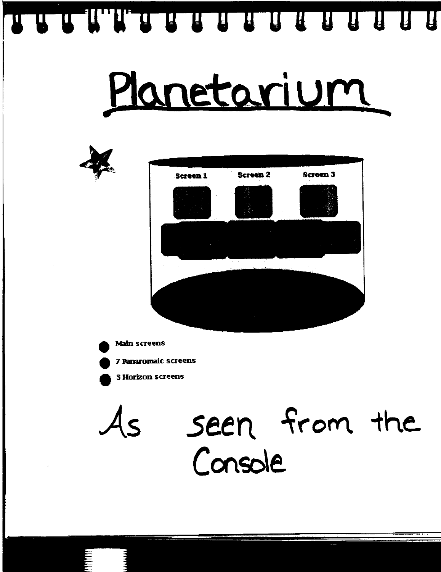N H H H H H H H H H H H H H H H

# Planetarium



**Main screens** 

7 Panaromaic screens



**3 Horizon screens** 

seen from the  $\mathcal{A}_{\mathsf{S}}$ Console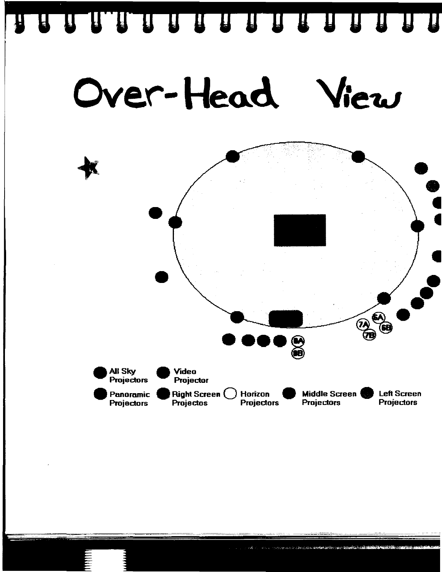#### 888888888888888  $\blacksquare$





 $\mathcal{L}=\frac{\sqrt{3}}{2}$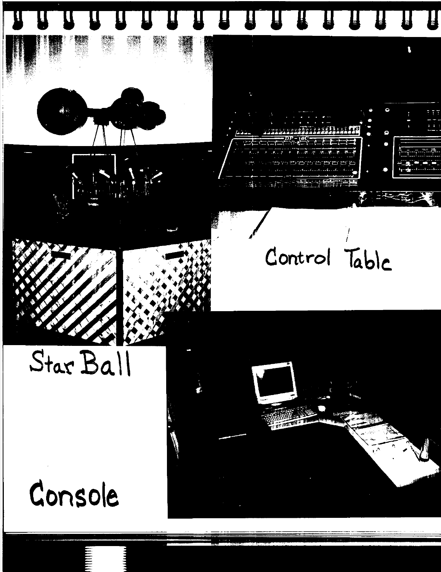



### Control Table



## $Star$   $Bal$

## Console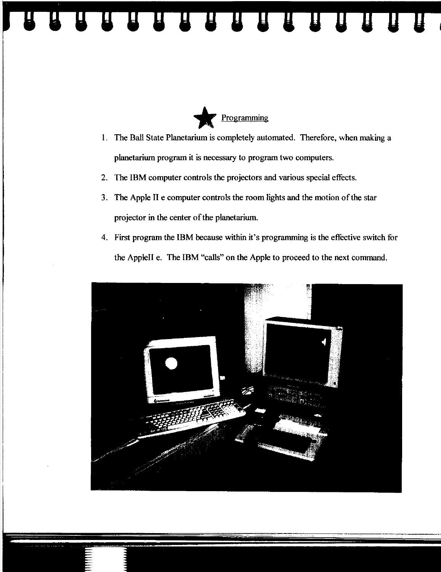



- I. The Ball State Planetarium is completely automated. Therefore, when making a planetarium program it is necessary to program two computers.
- 2. The IBM computer controls the projectors and various special effects.
- 3. The Apple II e computer controls the room lights and the motion of the star projector in the center of the planetarium.
- 4. First program the IBM because within it's programming is the effective switch for the AppleII e. The IBM "calls" on the Apple to proceed to the next command.

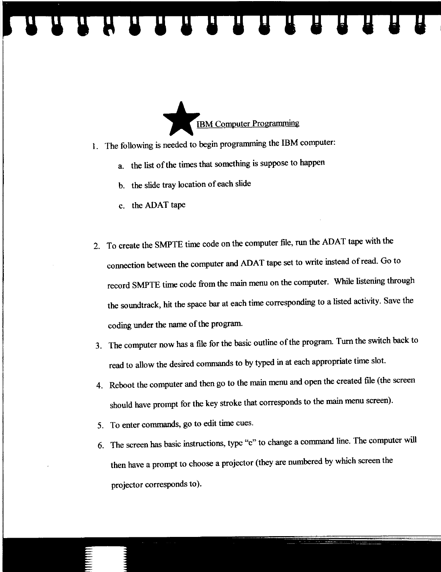

- 1. The following is needed to begin programming the IBM computer:
	- a. the list of the times that something is suppose to happen
	- b. the slide tray location of each slide

**THE REAL PROPERTY** 

- c. the ADAT tape
- 2. To create the SMPTE time code on the computer file, run the ADAT tape with the connection between the computer and ADAT tape set to write instead of read. Go to record SMPTE time code from the main menu on the computer. While listening through the soundtrack, hit the space bar at each time corresponding to a listed activity. Save the coding under the name of the program.
- 3. The computer now has a file for the basic outline of the program. Turn the switch back to read to allow the desired commands to by typed in at each appropriate time slot.
- 4. Reboot the computer and then go to the main menu and open the created file (the screen should have prompt for the key stroke that corresponds to the main menu screen).
- 5. To enter commands, go to edit time cues.
- 6. The screen has basic instructions, type "c" to change a command line. The computer will then have a prompt to choose a projector (they are numbered by which screen the projector corresponds to).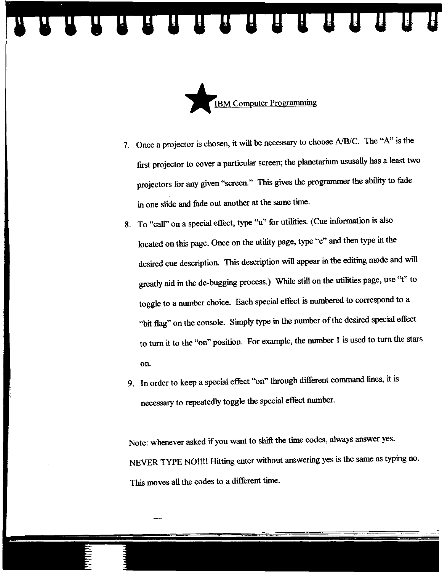

- 7. Once a projector is chosen, it will be necessary to choose AlBIC. The "A" is the first projector to cover a particular screen; the planetarium ususaIly has a least two projectors for any given "screen." This gives the programmer the ability to fade in one slide and fade out another at the same time.
- 8. To "call" on a special effect, type ''u'' for utilities. (Cue information is also located on this page. Once on the utility page, type "c" and then type in the desired cue description. This description will appear in the editing mode and will greatly aid in the de-bugging process.) While still on the utilities page, use "t" to toggle to a number choice. Each special effect is numbered to correspond to a "bit flag" on the console. Simply type in the number of the desired special effect to turn it to the "on" position. For example, the number 1 is used to turn the stars on.
- 9. In order to keep a special effect "on" through different command lines, it is necessary to repeatedly toggle the special effect number.

Note: whenever asked if you want to shift the time codes, always answer yes. NEVER TYPE NO!!!! Hitting enter without answering yes is the same as typing no. This moves all the codes to a different time.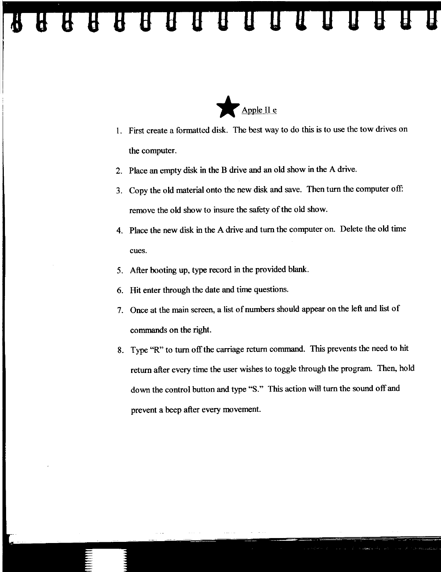#### REAL PROPERTY OF BUILDING  $\bf{H}$



- I. First create a formatted disk. The best way to do this is to use the tow drives on the computer.
- 2. Place an empty disk in the B drive and an old show in the A drive.
- 3. Copy the old material onto the new disk and save. Then turn the computer off: remove the old show to insure the safety of the old show.
- 4. Place the new disk in the A drive and turn the computer on. Delete the old time cues.
- 5. After booting up, type record in the provided blank.
- 6. Hit enter through the date and time questions.
- 7. Once at the main screen, a list of numbers should appear on the left and list of commands on the right.
- 8. Type "R" to turn off the carriage return command. This prevents the need to hit return after every time the user wishes to toggle through the program. Then, hold down the control button and type "S." This action will turn the sound off and prevent a beep after every movement.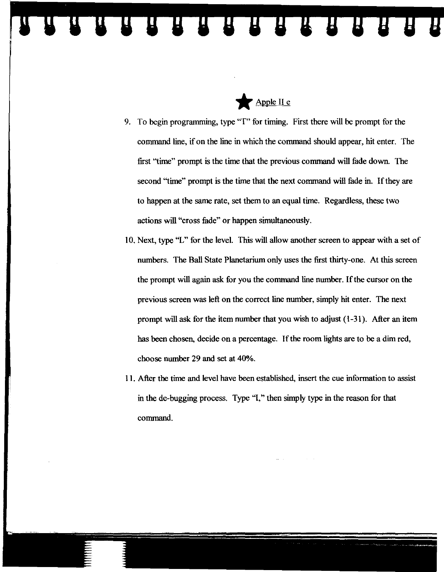

- 9. To begin programming, type "T" for timing. First there will be prompt for the command line, if on the line in which the command should appear, hit enter. The first "time" prompt is the time that the previous conunand will fade down. The second "time" prompt is the time that the next conunand will fade in. If they are to happen at the same rate, set them to an equal time. Regardless, these two actions will "cross fade" or happen simultaneously.
- 10. Next, type "L" for the level. This will allow another screen to appear with a set of numbers. The Ball State Planetarium only uses the first thirty-one. At this screen the prompt will again ask for you the conunand line number. If the cursor on the previous screen was left on the correct line number, simply hit enter. The next prompt will ask for the item number that you wish to adjust (1-31). After an item has been chosen, decide on a percentage. If the room lights are to be a dim red, choose number 29 and set at 40%.
- II. After the time and level have been established, insert the cue information to assist in the de-bugging process. Type "1," then simply type in the reason for that command.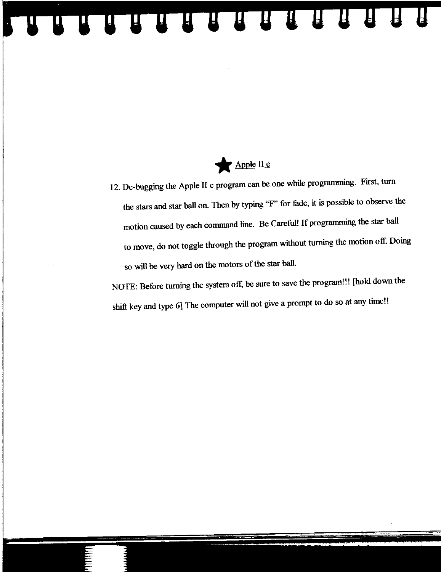

A R R R R R R R R R R R

12. De-bugging the Apple II e program can be one while programming. First, turn the stars and star ball on. Then by typing "F' for fade, it is possible to observe the motion caused by each command line. Be Careful! If programming the star ball to move, do not toggle through the program without turning the motion off. Doing so will be very hard on the motors of the star ball.

NOTE: Before turning the system off, be sure to save the program!!! [hold down the shift key and type 6] The computer will not give a prompt to do so at any time!!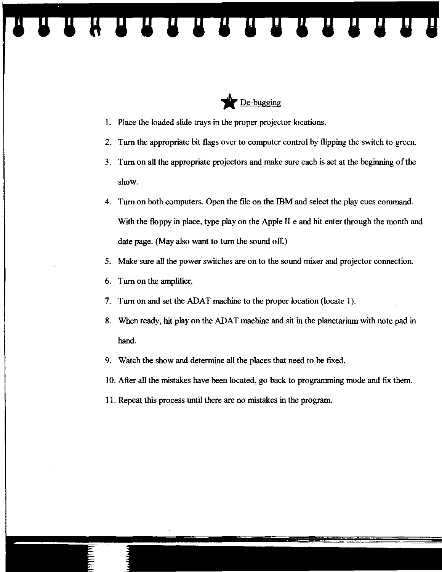

1. Place the loaded slide trays in the proper projector locations.

**HULLEY AT AT AT A** 

- 2. Tum the appropriate bit flags over to computer control by flipping the switch to green.
- 3. Tum on all the appropriate projectors and make sure each is set at the beginning of the show.
- 4. Tum on both computers. Open the file on the IBM and select the play cues command. With the floppy in place, type play on the Apple II e and hit enter through the month and date page. (May also want to tum the sound off.)
- 5. Make sure all the power switches are on to the sound mixer and projector connection.
- 6. Tum on the amplifier.
- 7. Tum on and set the ADAT machine to the proper location (locate 1).
- 8. When ready, hit play on the ADAT machine and sit in the planetarium with note pad in hand.
- 9. Watch the show and determine all the places that need to be fixed.
- 10. After all the mistakes have been located, go back to programming mode and fix them.
- 11. Repeat this process until there are no mistakes in the program.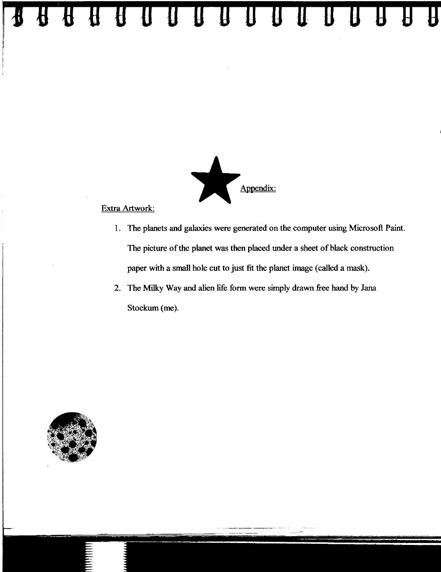# Appendix:

**<sup>14</sup>U U U B n n D D D 0 B D D 9 g g** 

#### Extra Artwork:

- I. The planets and galaxies were generated on the computer using Microsoft Paint. The picture of the planet was then placed under a sheet of black construction paper with a small hole cut to just fit the planet image (called a mask).
- 2. The Milky Way and alien life form were simply drawn free hand by Jana Stockum (me).

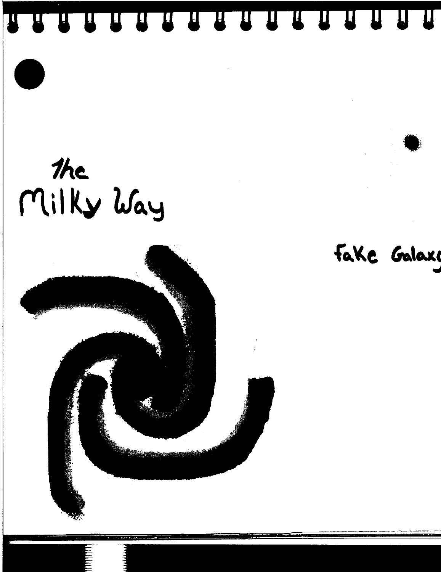A R R R R R R R R R R R R R R  $\mathbf T$ 

## the Milky Way



Fake Galax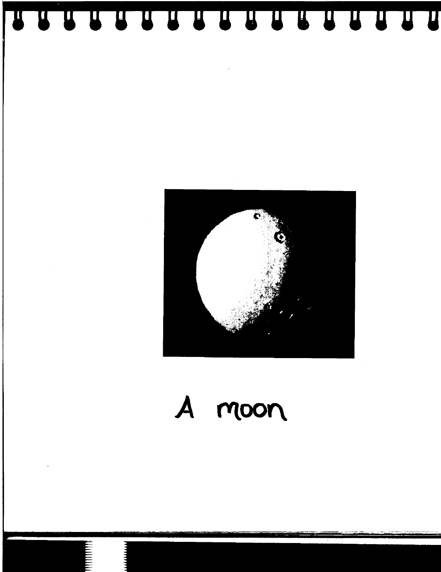

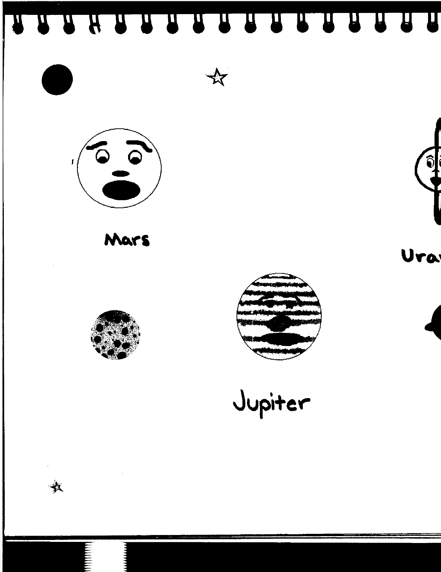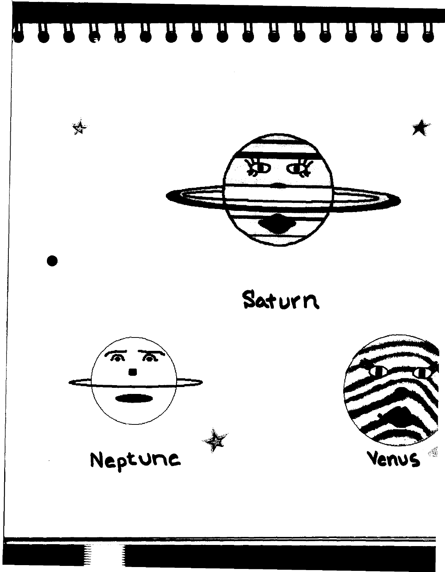A A A A A A A A A A A A A A A A



Saturn



 $\frac{1}{2}$ 

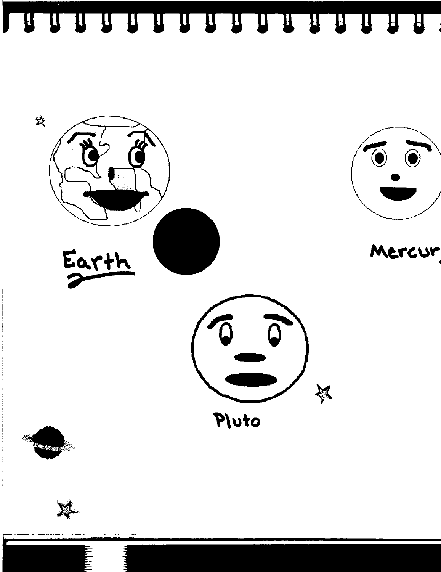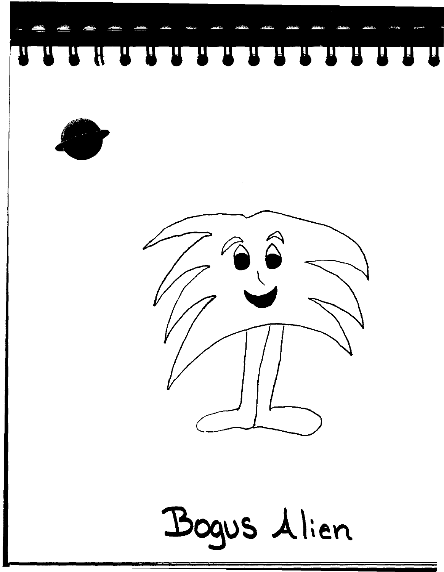





Bogus Alien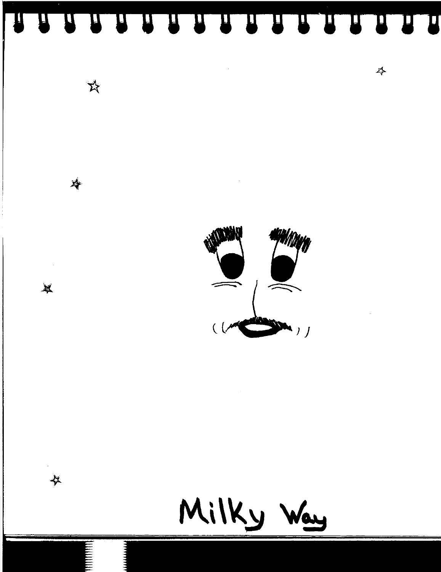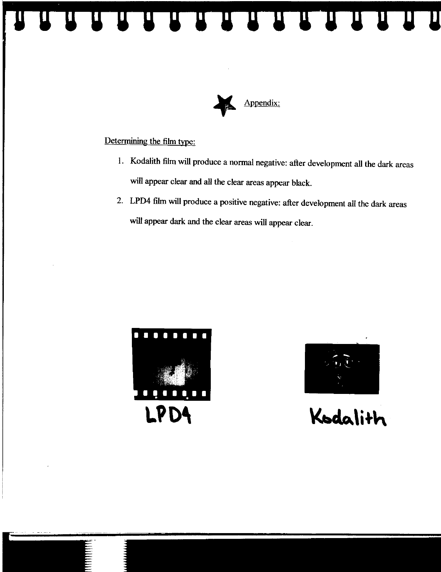**HEADLEY AND ARRIVED BY A STATE OF STATE OF STATE OF STATE OF STATE OF STATE OF STATE OF STATE OF STATE OF STATE**  $\bm{\Pi}$ 



Determining the film type:

- I. Kodalith film will produce a normal negative: after development all the dark areas will appear clear and all the clear areas appear black.
- 2. LPD4 film will produce a positive negative: after development all the dark areas will appear dark and the clear areas will appear clear.





Kodalith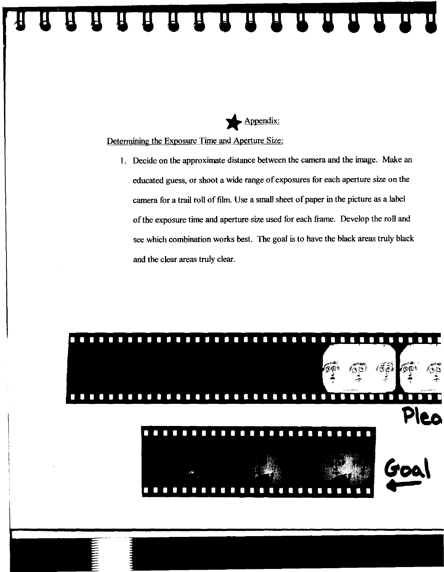

Determining the Exposure Time and Aperture Size:

1. Decide on the approximate distance between the camera and the image. Make an educated guess, or shoot a wide range of exposures for each aperture size on the camera for a trail roll of film. Use a small sheet of paper in the picture as a label of the exposure time and aperture size used for each frame. Develop the roll and see which combination works best. The goal is to have the black areas truly black and the clear areas truly clear.

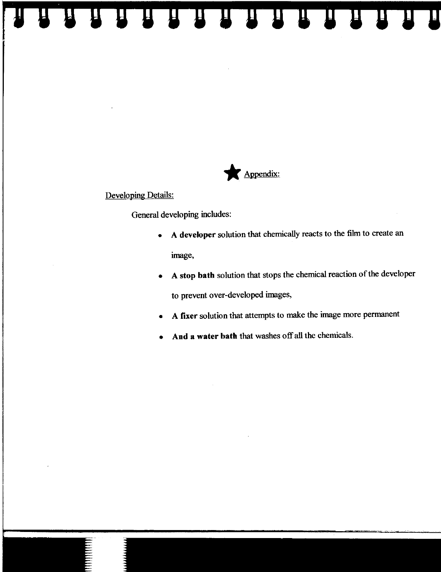$\mathbf{H}^ \mathbf{I}$ 



Developing Details:

General developing includes:

- A developer solution that chemically reacts to the film to create an image,
- A stop bath solution that stops the chemical reaction of the developer to prevent over-developed images,
- A fixer solution that attempts to make the image more permanent
- And a water **bath** that washes off all the chemicals.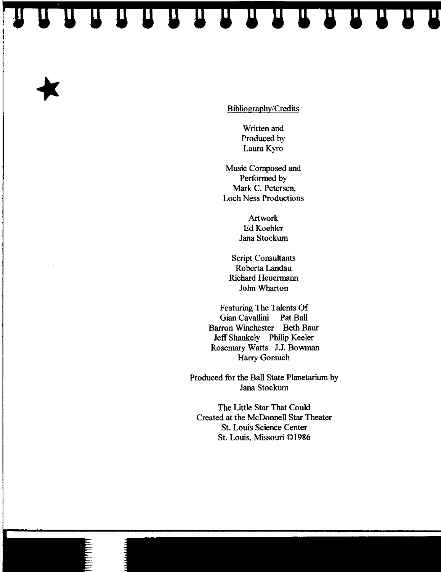ES ES ES ES ES ES ES ES

Bibliography/Credits

Written and Produced by Laura Kyro

Music Composed and Performed by Mark C. Petersen, Loch Ness Productions

> Artwork Ed Koehler Jana Stockum

Script Consultants Roberta Landau Richard Heuermann John Wharton

Featuring The Talents Of Gian Cavallini Pat Ball Barron Winchester Beth Baur Jeff Shankely Philip Keeler Rosemary Watts J.J. Bowman Harry Gorsuch

Produced for the Ball State Planetarium by Jana Stockum

The Little Star That Could Created at the McDonnell Star Theater St. Louis Science Center St. Louis, Missouri © 1986